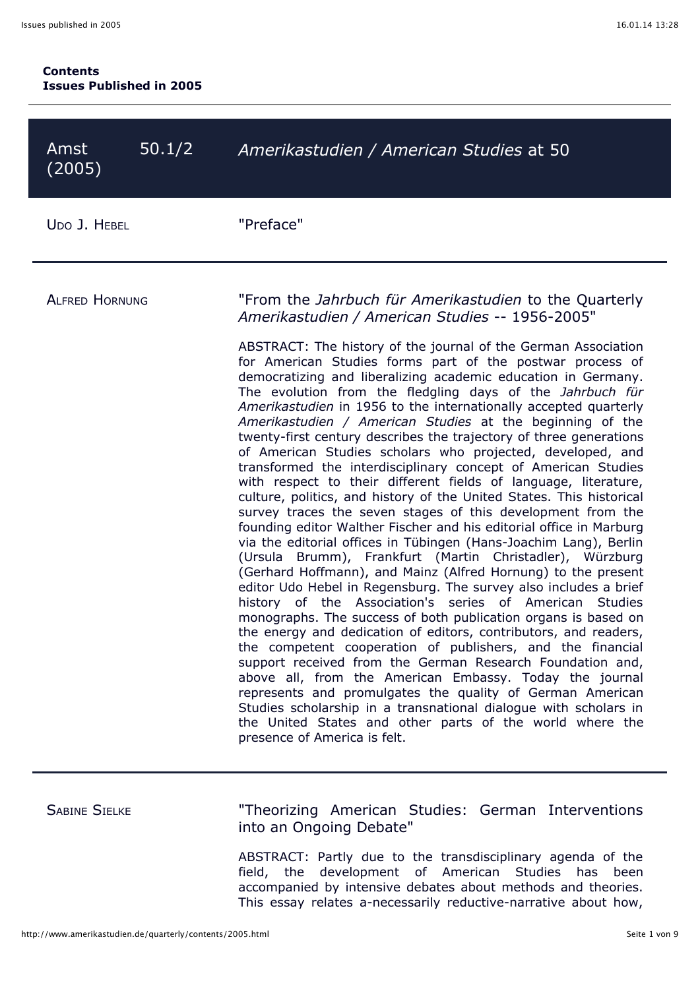| Amst<br>(2005)        | 50.1/2 | Amerikastudien / American Studies at 50                                                                                                                                                                                                                                                                                                                                                                                                                                                                                                                                                                                                                                                                                                                                                                                                                                                                                                                                                                                                                                                                                                                                                                                                                                                                                                                                                                                                                                                                                                                                                                                                                                                                                                                                                                                                                                                        |
|-----------------------|--------|------------------------------------------------------------------------------------------------------------------------------------------------------------------------------------------------------------------------------------------------------------------------------------------------------------------------------------------------------------------------------------------------------------------------------------------------------------------------------------------------------------------------------------------------------------------------------------------------------------------------------------------------------------------------------------------------------------------------------------------------------------------------------------------------------------------------------------------------------------------------------------------------------------------------------------------------------------------------------------------------------------------------------------------------------------------------------------------------------------------------------------------------------------------------------------------------------------------------------------------------------------------------------------------------------------------------------------------------------------------------------------------------------------------------------------------------------------------------------------------------------------------------------------------------------------------------------------------------------------------------------------------------------------------------------------------------------------------------------------------------------------------------------------------------------------------------------------------------------------------------------------------------|
| UDO J. HEBEL          |        | "Preface"                                                                                                                                                                                                                                                                                                                                                                                                                                                                                                                                                                                                                                                                                                                                                                                                                                                                                                                                                                                                                                                                                                                                                                                                                                                                                                                                                                                                                                                                                                                                                                                                                                                                                                                                                                                                                                                                                      |
| <b>ALFRED HORNUNG</b> |        | "From the <i>Jahrbuch für Amerikastudien</i> to the Quarterly<br>Amerikastudien / American Studies -- 1956-2005"<br>ABSTRACT: The history of the journal of the German Association<br>for American Studies forms part of the postwar process of<br>democratizing and liberalizing academic education in Germany.<br>The evolution from the fledgling days of the Jahrbuch für<br>Amerikastudien in 1956 to the internationally accepted quarterly<br>Amerikastudien / American Studies at the beginning of the<br>twenty-first century describes the trajectory of three generations<br>of American Studies scholars who projected, developed, and<br>transformed the interdisciplinary concept of American Studies<br>with respect to their different fields of language, literature,<br>culture, politics, and history of the United States. This historical<br>survey traces the seven stages of this development from the<br>founding editor Walther Fischer and his editorial office in Marburg<br>via the editorial offices in Tübingen (Hans-Joachim Lang), Berlin<br>(Ursula Brumm), Frankfurt (Martin Christadler), Würzburg<br>(Gerhard Hoffmann), and Mainz (Alfred Hornung) to the present<br>editor Udo Hebel in Regensburg. The survey also includes a brief<br>history of the Association's series of American Studies<br>monographs. The success of both publication organs is based on<br>the energy and dedication of editors, contributors, and readers,<br>the competent cooperation of publishers, and the financial<br>support received from the German Research Foundation and,<br>above all, from the American Embassy. Today the journal<br>represents and promulgates the quality of German American<br>Studies scholarship in a transnational dialogue with scholars in<br>the United States and other parts of the world where the<br>presence of America is felt. |

SABINE SIELKE **Theorizing American Studies: German Interventions** into an Ongoing Debate"

> ABSTRACT: Partly due to the transdisciplinary agenda of the field, the development of American Studies has been accompanied by intensive debates about methods and theories. This essay relates a-necessarily reductive-narrative about how,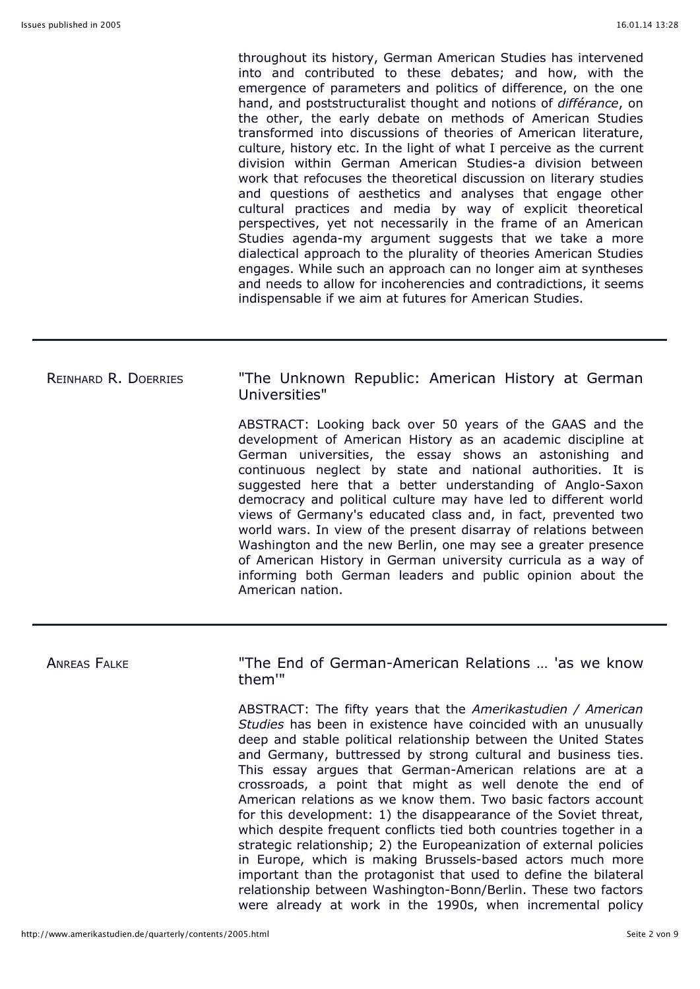throughout its history, German American Studies has intervened into and contributed to these debates; and how, with the emergence of parameters and politics of difference, on the one hand, and poststructuralist thought and notions of *différance*, on the other, the early debate on methods of American Studies transformed into discussions of theories of American literature, culture, history etc. In the light of what I perceive as the current division within German American Studies-a division between work that refocuses the theoretical discussion on literary studies and questions of aesthetics and analyses that engage other cultural practices and media by way of explicit theoretical perspectives, yet not necessarily in the frame of an American Studies agenda-my argument suggests that we take a more dialectical approach to the plurality of theories American Studies engages. While such an approach can no longer aim at syntheses and needs to allow for incoherencies and contradictions, it seems indispensable if we aim at futures for American Studies.

# REINHARD R. DOERRIES "The Unknown Republic: American History at German Universities" ABSTRACT: Looking back over 50 years of the GAAS and the

development of American History as an academic discipline at German universities, the essay shows an astonishing and continuous neglect by state and national authorities. It is suggested here that a better understanding of Anglo-Saxon democracy and political culture may have led to different world views of Germany's educated class and, in fact, prevented two world wars. In view of the present disarray of relations between Washington and the new Berlin, one may see a greater presence of American History in German university curricula as a way of informing both German leaders and public opinion about the American nation.

ANREAS FALKE THE THE End of German-American Relations ... 'as we know them'"

> ABSTRACT: The fifty years that the *Amerikastudien / American Studies* has been in existence have coincided with an unusually deep and stable political relationship between the United States and Germany, buttressed by strong cultural and business ties. This essay argues that German-American relations are at a crossroads, a point that might as well denote the end of American relations as we know them. Two basic factors account for this development: 1) the disappearance of the Soviet threat, which despite frequent conflicts tied both countries together in a strategic relationship; 2) the Europeanization of external policies in Europe, which is making Brussels-based actors much more important than the protagonist that used to define the bilateral relationship between Washington-Bonn/Berlin. These two factors were already at work in the 1990s, when incremental policy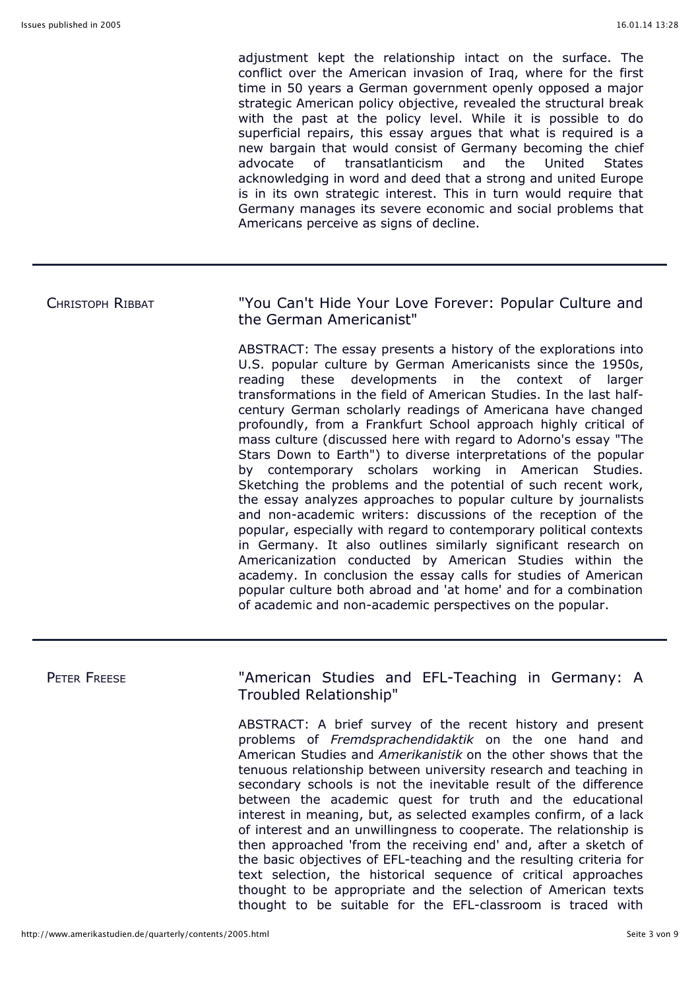adjustment kept the relationship intact on the surface. The conflict over the American invasion of Iraq, where for the first time in 50 years a German government openly opposed a major strategic American policy objective, revealed the structural break with the past at the policy level. While it is possible to do superficial repairs, this essay argues that what is required is a new bargain that would consist of Germany becoming the chief advocate of transatlanticism and the United States acknowledging in word and deed that a strong and united Europe is in its own strategic interest. This in turn would require that Germany manages its severe economic and social problems that Americans perceive as signs of decline.

## CHRISTOPH RIBBAT "You Can't Hide Your Love Forever: Popular Culture and the German Americanist"

ABSTRACT: The essay presents a history of the explorations into U.S. popular culture by German Americanists since the 1950s, reading these developments in the context of larger transformations in the field of American Studies. In the last halfcentury German scholarly readings of Americana have changed profoundly, from a Frankfurt School approach highly critical of mass culture (discussed here with regard to Adorno's essay "The Stars Down to Earth") to diverse interpretations of the popular by contemporary scholars working in American Studies. Sketching the problems and the potential of such recent work, the essay analyzes approaches to popular culture by journalists and non-academic writers: discussions of the reception of the popular, especially with regard to contemporary political contexts in Germany. It also outlines similarly significant research on Americanization conducted by American Studies within the academy. In conclusion the essay calls for studies of American popular culture both abroad and 'at home' and for a combination of academic and non-academic perspectives on the popular.

## PETER FREESE **The Connect Connect Connect Teaching in Germany: A** Troubled Relationship"

ABSTRACT: A brief survey of the recent history and present problems of *Fremdsprachendidaktik* on the one hand and American Studies and *Amerikanistik* on the other shows that the tenuous relationship between university research and teaching in secondary schools is not the inevitable result of the difference between the academic quest for truth and the educational interest in meaning, but, as selected examples confirm, of a lack of interest and an unwillingness to cooperate. The relationship is then approached 'from the receiving end' and, after a sketch of the basic objectives of EFL-teaching and the resulting criteria for text selection, the historical sequence of critical approaches thought to be appropriate and the selection of American texts thought to be suitable for the EFL-classroom is traced with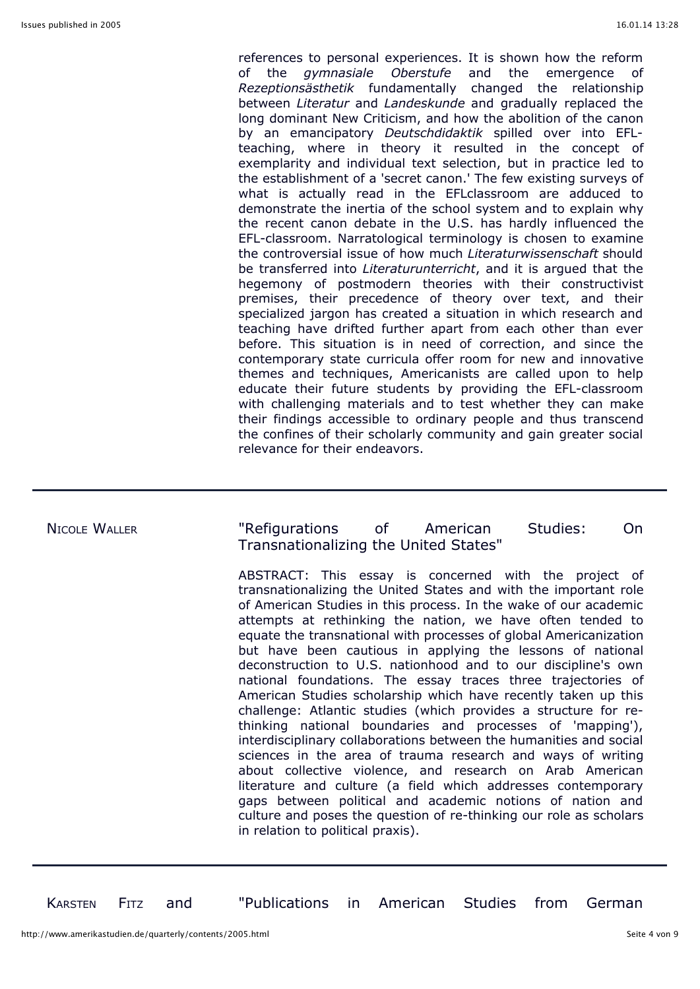references to personal experiences. It is shown how the reform of the *gymnasiale Oberstufe* and the emergence of *Rezeptionsästhetik* fundamentally changed the relationship between *Literatur* and *Landeskunde* and gradually replaced the long dominant New Criticism, and how the abolition of the canon by an emancipatory *Deutschdidaktik* spilled over into EFLteaching, where in theory it resulted in the concept of exemplarity and individual text selection, but in practice led to the establishment of a 'secret canon.' The few existing surveys of what is actually read in the EFLclassroom are adduced to demonstrate the inertia of the school system and to explain why the recent canon debate in the U.S. has hardly influenced the EFL-classroom. Narratological terminology is chosen to examine the controversial issue of how much *Literaturwissenschaft* should be transferred into *Literaturunterricht*, and it is argued that the hegemony of postmodern theories with their constructivist premises, their precedence of theory over text, and their specialized jargon has created a situation in which research and teaching have drifted further apart from each other than ever before. This situation is in need of correction, and since the contemporary state curricula offer room for new and innovative themes and techniques, Americanists are called upon to help educate their future students by providing the EFL-classroom with challenging materials and to test whether they can make their findings accessible to ordinary people and thus transcend the confines of their scholarly community and gain greater social relevance for their endeavors.

### NICOLE WALLER "Refigurations of American Studies: On Transnationalizing the United States"

ABSTRACT: This essay is concerned with the project of transnationalizing the United States and with the important role of American Studies in this process. In the wake of our academic attempts at rethinking the nation, we have often tended to equate the transnational with processes of global Americanization but have been cautious in applying the lessons of national deconstruction to U.S. nationhood and to our discipline's own national foundations. The essay traces three trajectories of American Studies scholarship which have recently taken up this challenge: Atlantic studies (which provides a structure for rethinking national boundaries and processes of 'mapping'), interdisciplinary collaborations between the humanities and social sciences in the area of trauma research and ways of writing about collective violence, and research on Arab American literature and culture (a field which addresses contemporary gaps between political and academic notions of nation and culture and poses the question of re-thinking our role as scholars in relation to political praxis).

KARSTEN FITZ and "Publications in American Studies from German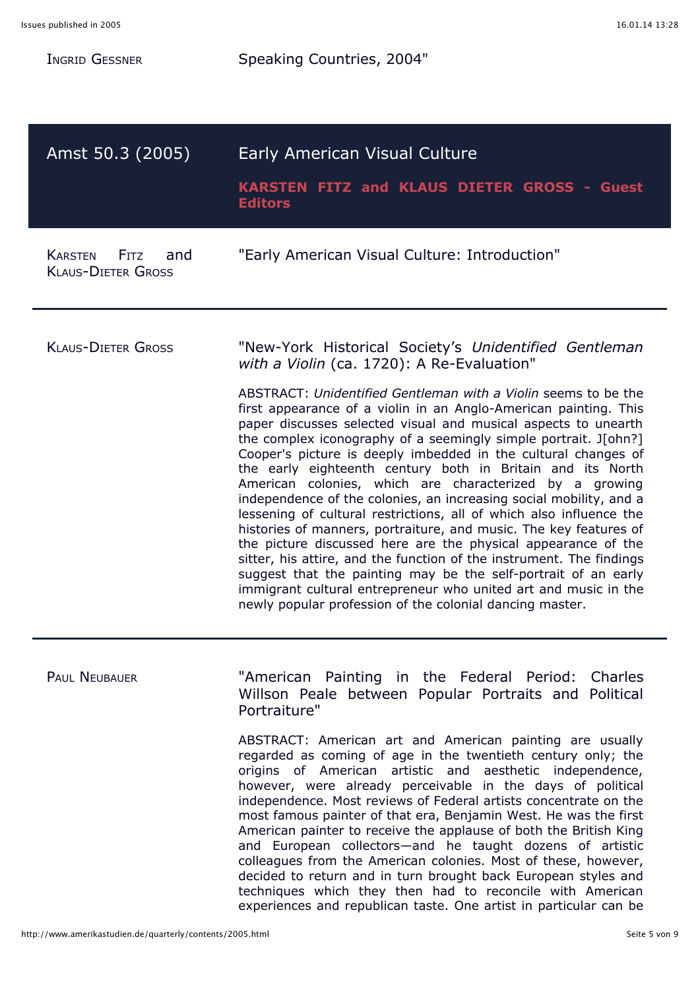| Ingrid Gessner                                      | Speaking Countries, 2004"                                                                                                                                                                                                                                                                                                                                                                                                                                                                                                                                                                                                                                                                                                                                                                                                                                                                                                                                                                                                                                                                                                             |
|-----------------------------------------------------|---------------------------------------------------------------------------------------------------------------------------------------------------------------------------------------------------------------------------------------------------------------------------------------------------------------------------------------------------------------------------------------------------------------------------------------------------------------------------------------------------------------------------------------------------------------------------------------------------------------------------------------------------------------------------------------------------------------------------------------------------------------------------------------------------------------------------------------------------------------------------------------------------------------------------------------------------------------------------------------------------------------------------------------------------------------------------------------------------------------------------------------|
| Amst 50.3 (2005)                                    | Early American Visual Culture<br>KARSTEN FITZ and KLAUS DIETER GROSS - Guest<br><b>Editors</b>                                                                                                                                                                                                                                                                                                                                                                                                                                                                                                                                                                                                                                                                                                                                                                                                                                                                                                                                                                                                                                        |
| Karsten<br>Fitz<br>and<br><b>KLAUS-DIETER GROSS</b> | "Early American Visual Culture: Introduction"                                                                                                                                                                                                                                                                                                                                                                                                                                                                                                                                                                                                                                                                                                                                                                                                                                                                                                                                                                                                                                                                                         |
| <b>KLAUS-DIETER GROSS</b>                           | "New-York Historical Society's Unidentified Gentleman<br>with a Violin (ca. 1720): A Re-Evaluation"<br>ABSTRACT: Unidentified Gentleman with a Violin seems to be the<br>first appearance of a violin in an Anglo-American painting. This<br>paper discusses selected visual and musical aspects to unearth<br>the complex iconography of a seemingly simple portrait. J[ohn?]<br>Cooper's picture is deeply imbedded in the cultural changes of<br>the early eighteenth century both in Britain and its North<br>American colonies, which are characterized by a growing<br>independence of the colonies, an increasing social mobility, and a<br>lessening of cultural restrictions, all of which also influence the<br>histories of manners, portraiture, and music. The key features of<br>the picture discussed here are the physical appearance of the<br>sitter, his attire, and the function of the instrument. The findings<br>suggest that the painting may be the self-portrait of an early<br>immigrant cultural entrepreneur who united art and music in the<br>newly popular profession of the colonial dancing master. |
| <b>PAUL NEUBAUER</b>                                | "American Painting in the Federal Period: Charles<br>Willson Peale between Popular Portraits and Political<br>Portraiture"<br>ABSTRACT: American art and American painting are usually<br>regarded as coming of age in the twentieth century only; the<br>origins of American artistic and aesthetic independence,<br>however, were already perceivable in the days of political                                                                                                                                                                                                                                                                                                                                                                                                                                                                                                                                                                                                                                                                                                                                                      |

however, were already perceivable in the days of political independence. Most reviews of Federal artists concentrate on the most famous painter of that era, Benjamin West. He was the first American painter to receive the applause of both the British King and European collectors—and he taught dozens of artistic colleagues from the American colonies. Most of these, however, decided to return and in turn brought back European styles and techniques which they then had to reconcile with American experiences and republican taste. One artist in particular can be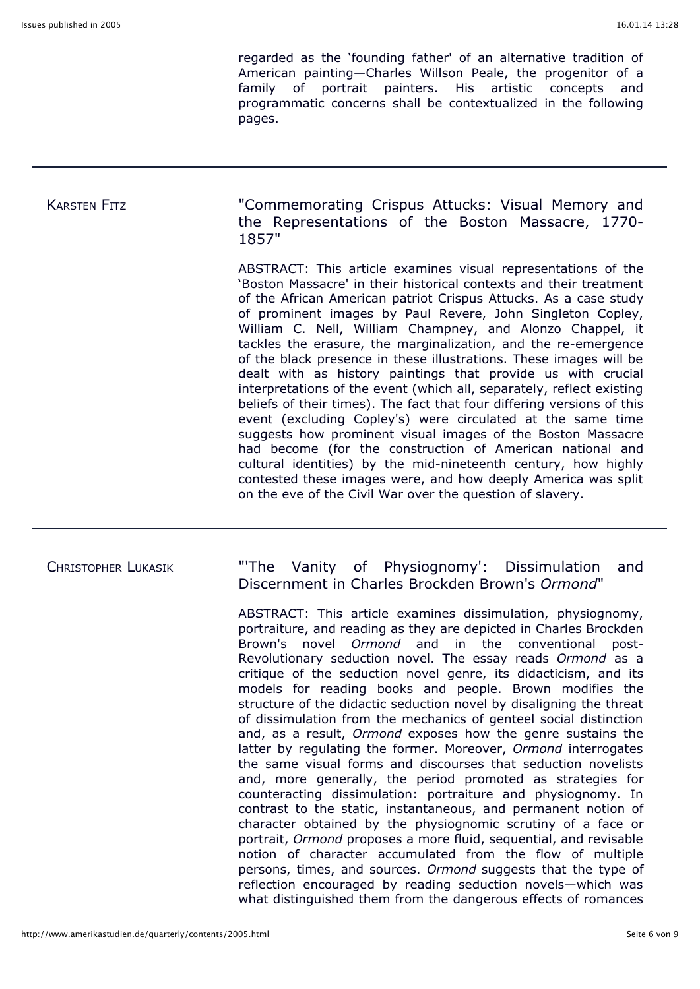regarded as the 'founding father' of an alternative tradition of American painting—Charles Willson Peale, the progenitor of a family of portrait painters. His artistic concepts and programmatic concerns shall be contextualized in the following pages.

KARSTEN FITZ **The COMMEMORATION COMMEMORY** Crispus Attucks: Visual Memory and the Representations of the Boston Massacre, 1770- 1857"

> ABSTRACT: This article examines visual representations of the 'Boston Massacre' in their historical contexts and their treatment of the African American patriot Crispus Attucks. As a case study of prominent images by Paul Revere, John Singleton Copley, William C. Nell, William Champney, and Alonzo Chappel, it tackles the erasure, the marginalization, and the re-emergence of the black presence in these illustrations. These images will be dealt with as history paintings that provide us with crucial interpretations of the event (which all, separately, reflect existing beliefs of their times). The fact that four differing versions of this event (excluding Copley's) were circulated at the same time suggests how prominent visual images of the Boston Massacre had become (for the construction of American national and cultural identities) by the mid-nineteenth century, how highly contested these images were, and how deeply America was split on the eve of the Civil War over the question of slavery.

### CHRISTOPHER LUKASIK "'The Vanity of Physiognomy': Dissimulation and Discernment in Charles Brockden Brown's *Ormond*"

ABSTRACT: This article examines dissimulation, physiognomy, portraiture, and reading as they are depicted in Charles Brockden Brown's novel *Ormond* and in the conventional post-Revolutionary seduction novel. The essay reads *Ormond* as a critique of the seduction novel genre, its didacticism, and its models for reading books and people. Brown modifies the structure of the didactic seduction novel by disaligning the threat of dissimulation from the mechanics of genteel social distinction and, as a result, *Ormond* exposes how the genre sustains the latter by regulating the former. Moreover, *Ormond* interrogates the same visual forms and discourses that seduction novelists and, more generally, the period promoted as strategies for counteracting dissimulation: portraiture and physiognomy. In contrast to the static, instantaneous, and permanent notion of character obtained by the physiognomic scrutiny of a face or portrait, *Ormond* proposes a more fluid, sequential, and revisable notion of character accumulated from the flow of multiple persons, times, and sources. *Ormond* suggests that the type of reflection encouraged by reading seduction novels—which was what distinguished them from the dangerous effects of romances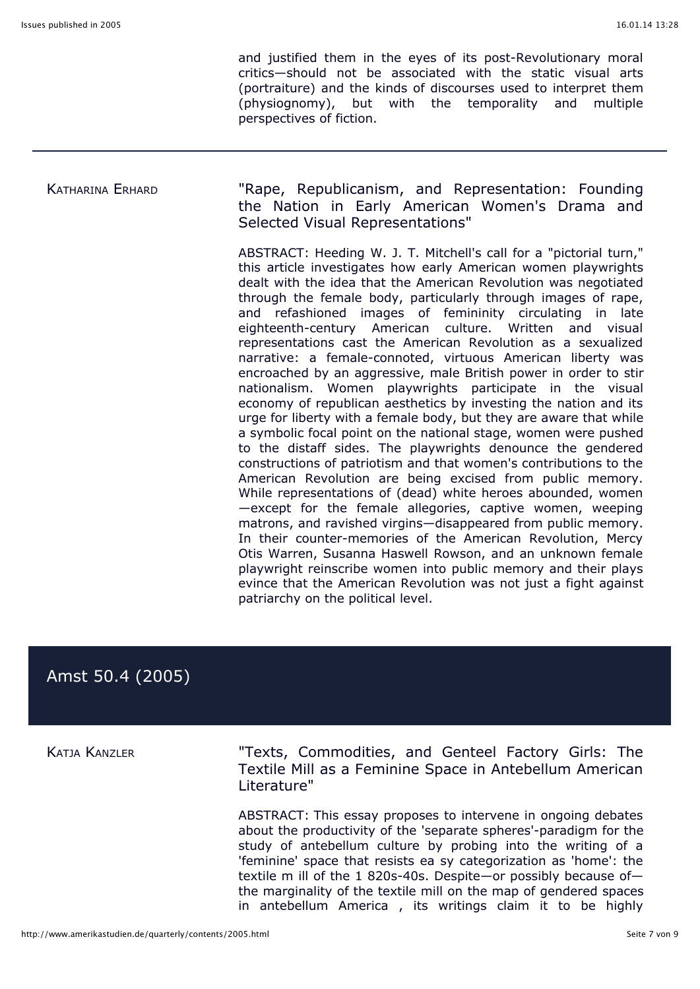and justified them in the eyes of its post-Revolutionary moral critics—should not be associated with the static visual arts (portraiture) and the kinds of discourses used to interpret them (physiognomy), but with the temporality and multiple perspectives of fiction.

## KATHARINA ERHARD "Rape, Republicanism, and Representation: Founding the Nation in Early American Women's Drama and Selected Visual Representations"

ABSTRACT: Heeding W. J. T. Mitchell's call for a "pictorial turn," this article investigates how early American women playwrights dealt with the idea that the American Revolution was negotiated through the female body, particularly through images of rape, and refashioned images of femininity circulating in late eighteenth-century American culture. Written and visual representations cast the American Revolution as a sexualized narrative: a female-connoted, virtuous American liberty was encroached by an aggressive, male British power in order to stir nationalism. Women playwrights participate in the visual economy of republican aesthetics by investing the nation and its urge for liberty with a female body, but they are aware that while a symbolic focal point on the national stage, women were pushed to the distaff sides. The playwrights denounce the gendered constructions of patriotism and that women's contributions to the American Revolution are being excised from public memory. While representations of (dead) white heroes abounded, women —except for the female allegories, captive women, weeping matrons, and ravished virgins—disappeared from public memory. In their counter-memories of the American Revolution, Mercy Otis Warren, Susanna Haswell Rowson, and an unknown female playwright reinscribe women into public memory and their plays evince that the American Revolution was not just a fight against patriarchy on the political level.

# Amst 50.4 (2005)

KATJA KANZLER "Texts, Commodities, and Genteel Factory Girls: The Textile Mill as a Feminine Space in Antebellum American Literature"

> ABSTRACT: This essay proposes to intervene in ongoing debates about the productivity of the 'separate spheres'-paradigm for the study of antebellum culture by probing into the writing of a 'feminine' space that resists ea sy categorization as 'home': the textile m ill of the 1 820s-40s. Despite—or possibly because of the marginality of the textile mill on the map of gendered spaces in antebellum America , its writings claim it to be highly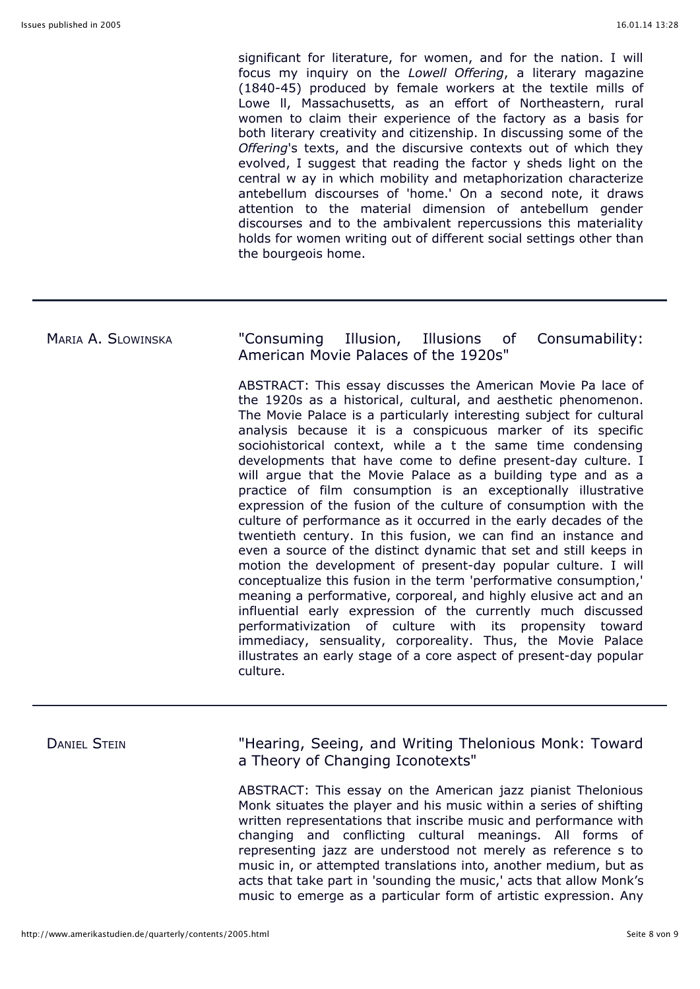significant for literature, for women, and for the nation. I will focus my inquiry on the *Lowell Offering*, a literary magazine (1840-45) produced by female workers at the textile mills of Lowe ll, Massachusetts, as an effort of Northeastern, rural women to claim their experience of the factory as a basis for both literary creativity and citizenship. In discussing some of the *Offering*'s texts, and the discursive contexts out of which they evolved, I suggest that reading the factor y sheds light on the central w ay in which mobility and metaphorization characterize antebellum discourses of 'home.' On a second note, it draws attention to the material dimension of antebellum gender discourses and to the ambivalent repercussions this materiality holds for women writing out of different social settings other than the bourgeois home.

## MARIA A. SLOWINSKA "Consuming Illusion, Illusions of Consumability: American Movie Palaces of the 1920s"

ABSTRACT: This essay discusses the American Movie Pa lace of the 1920s as a historical, cultural, and aesthetic phenomenon. The Movie Palace is a particularly interesting subject for cultural analysis because it is a conspicuous marker of its specific sociohistorical context, while a t the same time condensing developments that have come to define present-day culture. I will argue that the Movie Palace as a building type and as a practice of film consumption is an exceptionally illustrative expression of the fusion of the culture of consumption with the culture of performance as it occurred in the early decades of the twentieth century. In this fusion, we can find an instance and even a source of the distinct dynamic that set and still keeps in motion the development of present-day popular culture. I will conceptualize this fusion in the term 'performative consumption,' meaning a performative, corporeal, and highly elusive act and an influential early expression of the currently much discussed performativization of culture with its propensity toward immediacy, sensuality, corporeality. Thus, the Movie Palace illustrates an early stage of a core aspect of present-day popular culture.

DANIEL STEIN **Thearing, Seeing, and Writing Thelonious Monk: Toward** a Theory of Changing Iconotexts"

> ABSTRACT: This essay on the American jazz pianist Thelonious Monk situates the player and his music within a series of shifting written representations that inscribe music and performance with changing and conflicting cultural meanings. All forms of representing jazz are understood not merely as reference s to music in, or attempted translations into, another medium, but as acts that take part in 'sounding the music,' acts that allow Monk's music to emerge as a particular form of artistic expression. Any